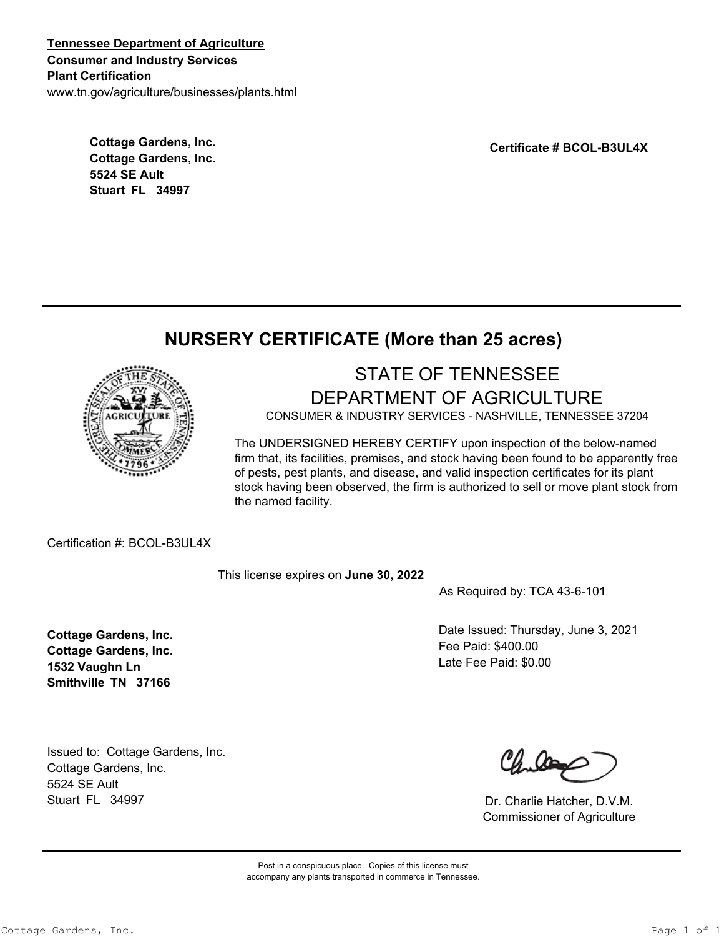**Tennessee Department of Agriculture Consumer and Industry Services Plant Certification** www.tn.gov/agriculture/businesses/plants.html

> **Cottage Gardens, Inc. Cottage Gardens, Inc. 5524 SE Ault Stuart FL 34997**

**Certificate # BCOL-B3UL4X**

## **NURSERY CERTIFICATE (More than 25 acres)**



## STATE OF TENNESSEE DEPARTMENT OF AGRICULTURE

CONSUMER & INDUSTRY SERVICES - NASHVILLE, TENNESSEE 37204

The UNDERSIGNED HEREBY CERTIFY upon inspection of the below-named firm that, its facilities, premises, and stock having been found to be apparently free of pests, pest plants, and disease, and valid inspection certificates for its plant stock having been observed, the firm is authorized to sell or move plant stock from the named facility.

Certification #: BCOL-B3UL4X

This license expires on **June 30, 2022**

As Required by: TCA 43-6-101

Date Issued: Thursday, June 3, 2021 Fee Paid: \$400.00 Late Fee Paid: \$0.00

**Cottage Gardens, Inc. Cottage Gardens, Inc. 1532 Vaughn Ln Smithville TN 37166**

Issued to: Cottage Gardens, Inc. Cottage Gardens, Inc. 5524 SE Ault Stuart FL 34997

Dr. Charlie Hatcher, D.V.M. Commissioner of Agriculture

Post in a conspicuous place. Copies of this license must accompany any plants transported in commerce in Tennessee.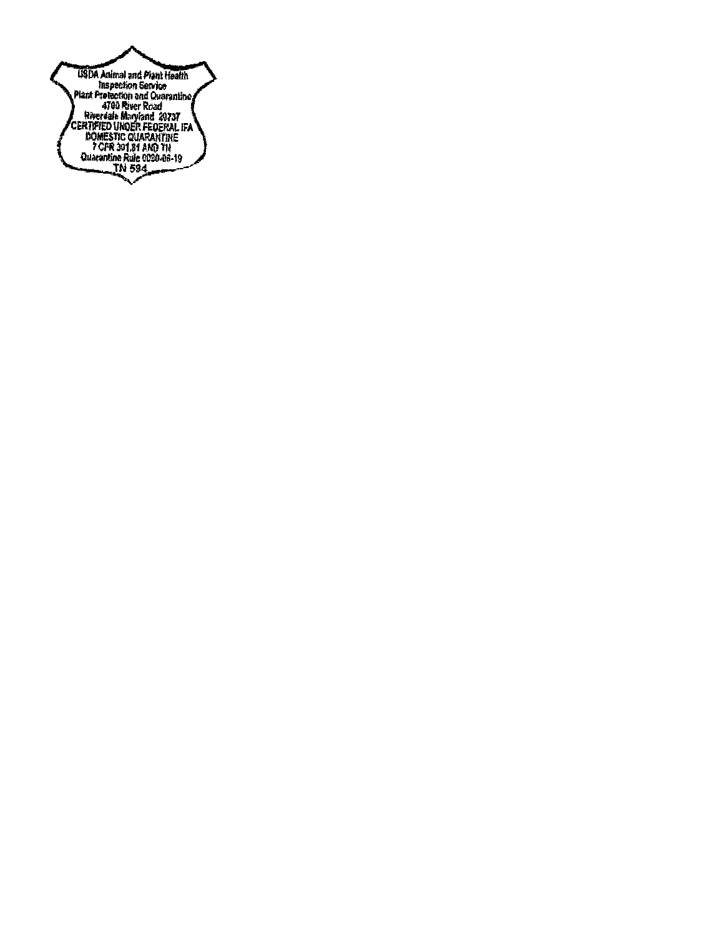